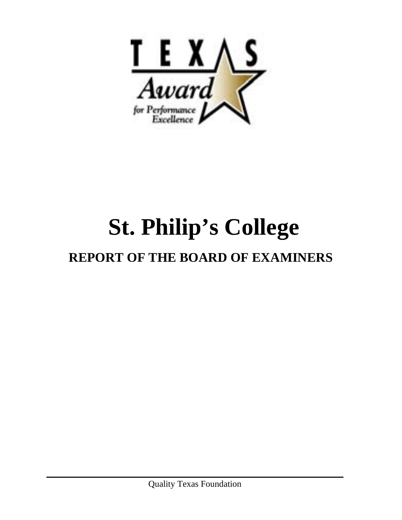

# **St. Philip's College**

## **REPORT OF THE BOARD OF EXAMINERS**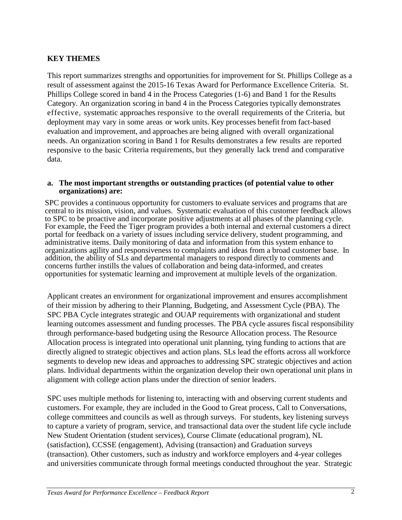#### **KEY THEMES**

This report summarizes strengths and opportunities for improvement for St. Phillips College as a result of assessment against the 2015-16 Texas Award for Performance Excellence Criteria. St. Phillips College scored in band 4 in the Process Categories (1-6) and Band 1 for the Results Category. An organization scoring in band 4 in the Process Categories typically demonstrates effective, systematic approaches responsive to the overall requirements of the Criteria, but deployment may vary in some areas or work units. Key processes benefit from fact-based evaluation and improvement, and approaches are being aligned with overall organizational needs. An organization scoring in Band 1 for Results demonstrates a few results are reported responsive to the basic Criteria requirements, but they generally lack trend and comparative data.

#### **a. The most important strengths or outstanding practices (of potential value to other organizations) are:**

SPC provides a continuous opportunity for customers to evaluate services and programs that are central to its mission, vision, and values. Systematic evaluation of this customer feedback allows to SPC to be proactive and incorporate positive adjustments at all phases of the planning cycle. For example, the Feed the Tiger program provides a both internal and external customers a direct portal for feedback on a variety of issues including service delivery, student programming, and administrative items. Daily monitoring of data and information from this system enhance to organizations agility and responsiveness to complaints and ideas from a broad customer base. In addition, the ability of SLs and departmental managers to respond directly to comments and concerns further instills the values of collaboration and being data-informed, and creates opportunities for systematic learning and improvement at multiple levels of the organization.

Applicant creates an environment for organizational improvement and ensures accomplishment of their mission by adhering to their Planning, Budgeting, and Assessment Cycle (PBA). The SPC PBA Cycle integrates strategic and OUAP requirements with organizational and student learning outcomes assessment and funding processes. The PBA cycle assures fiscal responsibility through performance-based budgeting using the Resource Allocation process. The Resource Allocation process is integrated into operational unit planning, tying funding to actions that are directly aligned to strategic objectives and action plans. SLs lead the efforts across all workforce segments to develop new ideas and approaches to addressing SPC strategic objectives and action plans. Individual departments within the organization develop their own operational unit plans in alignment with college action plans under the direction of senior leaders.

SPC uses multiple methods for listening to, interacting with and observing current students and customers. For example, they are included in the Good to Great process, Call to Conversations, college committees and councils as well as through surveys. For students, key listening surveys to capture a variety of program, service, and transactional data over the student life cycle include New Student Orientation (student services), Course Climate (educational program), NL (satisfaction), CCSSE (engagement), Advising (transaction) and Graduation surveys (transaction). Other customers, such as industry and workforce employers and 4-year colleges and universities communicate through formal meetings conducted throughout the year. Strategic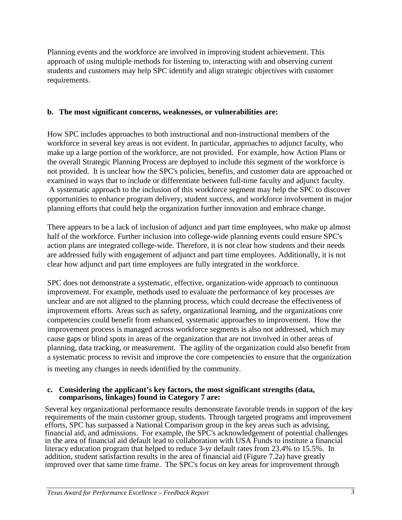Planning events and the workforce are involved in improving student achievement. This approach of using multiple methods for listening to, interacting with and observing current students and customers may help SPC identify and align strategic objectives with customer requirements.

#### **b. The most significant concerns, weaknesses, or vulnerabilities are:**

How SPC includes approaches to both instructional and non-instructional members of the workforce in several key areas is not evident. In particular, approaches to adjunct faculty, who make up a large portion of the workforce, are not provided. For example, how Action Plans or the overall Strategic Planning Process are deployed to include this segment of the workforce is not provided. It is unclear how the SPC's policies, benefits, and customer data are approached or examined in ways that to include or differentiate between full-time faculty and adjunct faculty. A systematic approach to the inclusion of this workforce segment may help the SPC to discover opportunities to enhance program delivery, student success, and workforce involvement in major planning efforts that could help the organization further innovation and embrace change.

There appears to be a lack of inclusion of adjunct and part time employees, who make up almost half of the workforce. Further inclusion into college-wide planning events could ensure SPC's action plans are integrated college-wide. Therefore, it is not clear how students and their needs are addressed fully with engagement of adjunct and part time employees. Additionally, it is not clear how adjunct and part time employees are fully integrated in the workforce.

SPC does not demonstrate a systematic, effective, organization-wide approach to continuous improvement. For example, methods used to evaluate the performance of key processes are unclear and are not aligned to the planning process, which could decrease the effectiveness of improvement efforts. Areas such as safety, organizational learning, and the organizations core competencies could benefit from enhanced, systematic approaches to improvement. How the improvement process is managed across workforce segments is also not addressed, which may cause gaps or blind spots in areas of the organization that are not involved in other areas of planning, data tracking, or measurement. The agility of the organization could also benefit from a systematic process to revisit and improve the core competencies to ensure that the organization is meeting any changes in needs identified by the community.

#### **c. Considering the applicant's key factors, the most significant strengths (data, comparisons, linkages) found in Category 7 are:**

Several key organizational performance results demonstrate favorable trends in support of the key requirements of the main customer group, students. Through targeted programs and improvement efforts, SPC has surpassed a National Comparison group in the key areas such as advising, financial aid, and admissions. For example, the SPC's acknowledgement of potential challenges in the area of financial aid default lead to collaboration with USA Funds to institute a financial literacy education program that helped to reduce 3-yr default rates from 23.4% to 15.5%. In addition, student satisfaction results in the area of financial aid (Figure 7.2a) have greatly improved over that same time frame. The SPC's focus on key areas for improvement through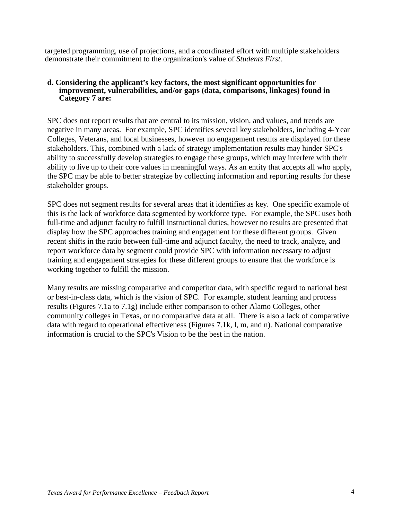targeted programming, use of projections, and a coordinated effort with multiple stakeholders demonstrate their commitment to the organization's value of *Students First*.

#### **d. Considering the applicant's key factors, the most significant opportunities for improvement, vulnerabilities, and/or gaps (data, comparisons, linkages) found in Category 7 are:**

SPC does not report results that are central to its mission, vision, and values, and trends are negative in many areas. For example, SPC identifies several key stakeholders, including 4-Year Colleges, Veterans, and local businesses, however no engagement results are displayed for these stakeholders. This, combined with a lack of strategy implementation results may hinder SPC's ability to successfully develop strategies to engage these groups, which may interfere with their ability to live up to their core values in meaningful ways. As an entity that accepts all who apply, the SPC may be able to better strategize by collecting information and reporting results for these stakeholder groups.

SPC does not segment results for several areas that it identifies as key. One specific example of this is the lack of workforce data segmented by workforce type. For example, the SPC uses both full-time and adjunct faculty to fulfill instructional duties, however no results are presented that display how the SPC approaches training and engagement for these different groups. Given recent shifts in the ratio between full-time and adjunct faculty, the need to track, analyze, and report workforce data by segment could provide SPC with information necessary to adjust training and engagement strategies for these different groups to ensure that the workforce is working together to fulfill the mission.

Many results are missing comparative and competitor data, with specific regard to national best or best-in-class data, which is the vision of SPC. For example, student learning and process results (Figures 7.1a to 7.1g) include either comparison to other Alamo Colleges, other community colleges in Texas, or no comparative data at all. There is also a lack of comparative data with regard to operational effectiveness (Figures 7.1k, l, m, and n). National comparative information is crucial to the SPC's Vision to be the best in the nation.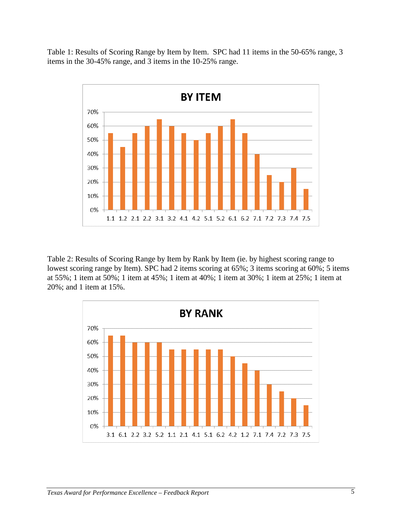Table 1: Results of Scoring Range by Item by Item. SPC had 11 items in the 50-65% range, 3 items in the 30-45% range, and 3 items in the 10-25% range.



Table 2: Results of Scoring Range by Item by Rank by Item (ie. by highest scoring range to lowest scoring range by Item). SPC had 2 items scoring at 65%; 3 items scoring at 60%; 5 items at 55%; 1 item at 50%; 1 item at 45%; 1 item at 40%; 1 item at 30%; 1 item at 25%; 1 item at 20%; and 1 item at 15%.

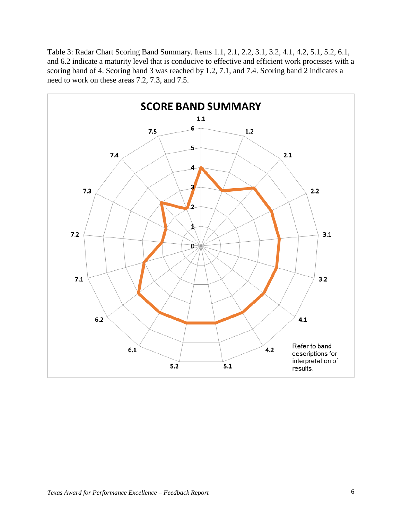Table 3: Radar Chart Scoring Band Summary. Items 1.1, 2.1, 2.2, 3.1, 3.2, 4.1, 4.2, 5.1, 5.2, 6.1, and 6.2 indicate a maturity level that is conducive to effective and efficient work processes with a scoring band of 4. Scoring band 3 was reached by 1.2, 7.1, and 7.4. Scoring band 2 indicates a need to work on these areas 7.2, 7.3, and 7.5.

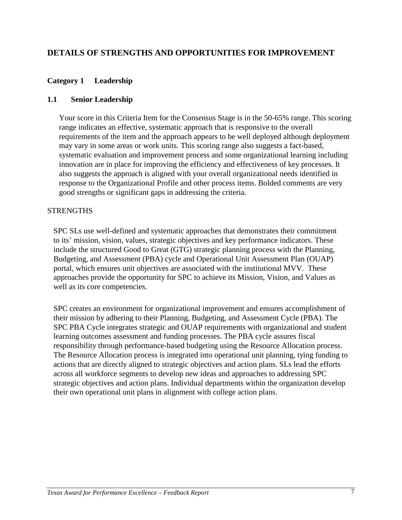#### **DETAILS OF STRENGTHS AND OPPORTUNITIES FOR IMPROVEMENT**

#### **Category 1 Leadership**

#### **1.1 Senior Leadership**

Your score in this Criteria Item for the Consensus Stage is in the 50-65% range. This scoring range indicates an effective, systematic approach that is responsive to the overall requirements of the item and the approach appears to be well deployed although deployment may vary in some areas or work units. This scoring range also suggests a fact-based, systematic evaluation and improvement process and some organizational learning including innovation are in place for improving the efficiency and effectiveness of key processes. It also suggests the approach is aligned with your overall organizational needs identified in response to the Organizational Profile and other process items. Bolded comments are very good strengths or significant gaps in addressing the criteria.

#### **STRENGTHS**

SPC SLs use well-defined and systematic approaches that demonstrates their commitment to its' mission, vision, values, strategic objectives and key performance indicators. These include the structured Good to Great (GTG) strategic planning process with the Planning, Budgeting, and Assessment (PBA) cycle and Operational Unit Assessment Plan (OUAP) portal, which ensures unit objectives are associated with the institutional MVV. These approaches provide the opportunity for SPC to achieve its Mission, Vision, and Values as well as its core competencies.

SPC creates an environment for organizational improvement and ensures accomplishment of their mission by adhering to their Planning, Budgeting, and Assessment Cycle (PBA). The SPC PBA Cycle integrates strategic and OUAP requirements with organizational and student learning outcomes assessment and funding processes. The PBA cycle assures fiscal responsibility through performance-based budgeting using the Resource Allocation process. The Resource Allocation process is integrated into operational unit planning, tying funding to actions that are directly aligned to strategic objectives and action plans. SLs lead the efforts across all workforce segments to develop new ideas and approaches to addressing SPC strategic objectives and action plans. Individual departments within the organization develop their own operational unit plans in alignment with college action plans.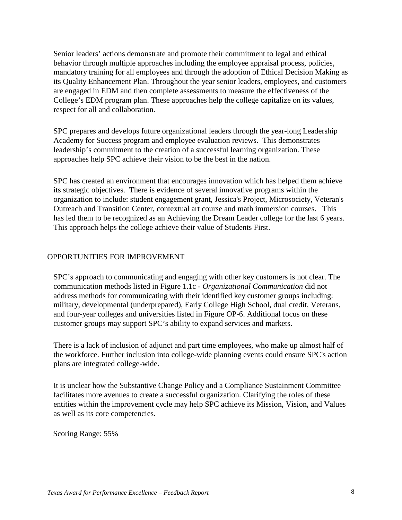Senior leaders' actions demonstrate and promote their commitment to legal and ethical behavior through multiple approaches including the employee appraisal process, policies, mandatory training for all employees and through the adoption of Ethical Decision Making as its Quality Enhancement Plan. Throughout the year senior leaders, employees, and customers are engaged in EDM and then complete assessments to measure the effectiveness of the College's EDM program plan. These approaches help the college capitalize on its values, respect for all and collaboration.

SPC prepares and develops future organizational leaders through the year-long Leadership Academy for Success program and employee evaluation reviews. This demonstrates leadership's commitment to the creation of a successful learning organization. These approaches help SPC achieve their vision to be the best in the nation.

SPC has created an environment that encourages innovation which has helped them achieve its strategic objectives. There is evidence of several innovative programs within the organization to include: student engagement grant, Jessica's Project, Microsociety, Veteran's Outreach and Transition Center, contextual art course and math immersion courses. This has led them to be recognized as an Achieving the Dream Leader college for the last 6 years. This approach helps the college achieve their value of Students First.

#### OPPORTUNITIES FOR IMPROVEMENT

SPC's approach to communicating and engaging with other key customers is not clear. The communication methods listed in Figure 1.1c - *Organizational Communication* did not address methods for communicating with their identified key customer groups including: military, developmental (underprepared), Early College High School, dual credit, Veterans, and four-year colleges and universities listed in Figure OP-6. Additional focus on these customer groups may support SPC's ability to expand services and markets.

There is a lack of inclusion of adjunct and part time employees, who make up almost half of the workforce. Further inclusion into college-wide planning events could ensure SPC's action plans are integrated college-wide.

It is unclear how the Substantive Change Policy and a Compliance Sustainment Committee facilitates more avenues to create a successful organization. Clarifying the roles of these entities within the improvement cycle may help SPC achieve its Mission, Vision, and Values as well as its core competencies.

Scoring Range: 55%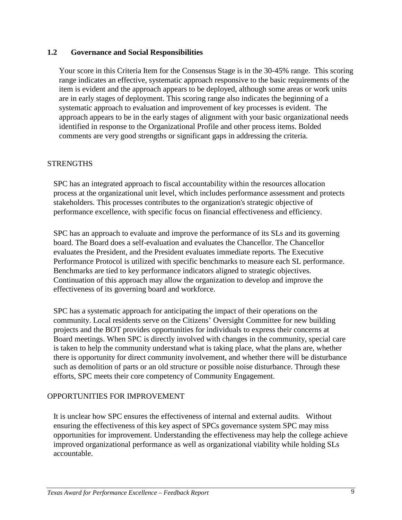#### **1.2 Governance and Social Responsibilities**

Your score in this Criteria Item for the Consensus Stage is in the 30-45% range. This scoring range indicates an effective, systematic approach responsive to the basic requirements of the item is evident and the approach appears to be deployed, although some areas or work units are in early stages of deployment. This scoring range also indicates the beginning of a systematic approach to evaluation and improvement of key processes is evident. The approach appears to be in the early stages of alignment with your basic organizational needs identified in response to the Organizational Profile and other process items. Bolded comments are very good strengths or significant gaps in addressing the criteria.

#### **STRENGTHS**

SPC has an integrated approach to fiscal accountability within the resources allocation process at the organizational unit level, which includes performance assessment and protects stakeholders. This processes contributes to the organization's strategic objective of performance excellence, with specific focus on financial effectiveness and efficiency.

SPC has an approach to evaluate and improve the performance of its SLs and its governing board. The Board does a self-evaluation and evaluates the Chancellor. The Chancellor evaluates the President, and the President evaluates immediate reports. The Executive Performance Protocol is utilized with specific benchmarks to measure each SL performance. Benchmarks are tied to key performance indicators aligned to strategic objectives. Continuation of this approach may allow the organization to develop and improve the effectiveness of its governing board and workforce.

SPC has a systematic approach for anticipating the impact of their operations on the community. Local residents serve on the Citizens' Oversight Committee for new building projects and the BOT provides opportunities for individuals to express their concerns at Board meetings. When SPC is directly involved with changes in the community, special care is taken to help the community understand what is taking place, what the plans are, whether there is opportunity for direct community involvement, and whether there will be disturbance such as demolition of parts or an old structure or possible noise disturbance. Through these efforts, SPC meets their core competency of Community Engagement.

#### OPPORTUNITIES FOR IMPROVEMENT

It is unclear how SPC ensures the effectiveness of internal and external audits. Without ensuring the effectiveness of this key aspect of SPCs governance system SPC may miss opportunities for improvement. Understanding the effectiveness may help the college achieve improved organizational performance as well as organizational viability while holding SLs accountable.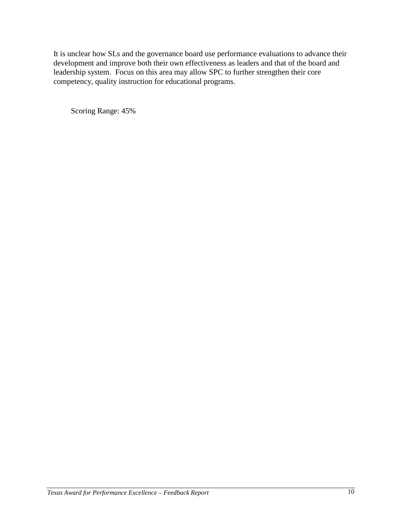It is unclear how SLs and the governance board use performance evaluations to advance their development and improve both their own effectiveness as leaders and that of the board and leadership system. Focus on this area may allow SPC to further strengthen their core competency, quality instruction for educational programs.

Scoring Range: 45%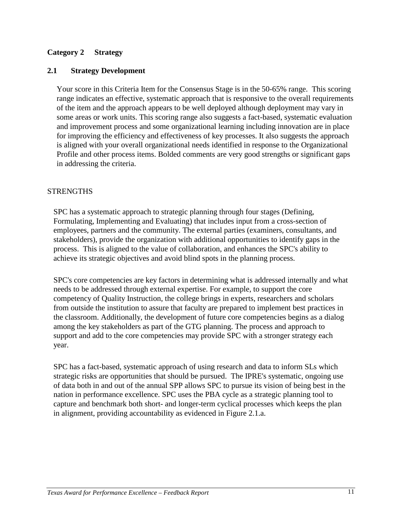#### **Category 2 Strategy**

#### **2.1 Strategy Development**

Your score in this Criteria Item for the Consensus Stage is in the 50-65% range. This scoring range indicates an effective, systematic approach that is responsive to the overall requirements of the item and the approach appears to be well deployed although deployment may vary in some areas or work units. This scoring range also suggests a fact-based, systematic evaluation and improvement process and some organizational learning including innovation are in place for improving the efficiency and effectiveness of key processes. It also suggests the approach is aligned with your overall organizational needs identified in response to the Organizational Profile and other process items. Bolded comments are very good strengths or significant gaps in addressing the criteria.

#### **STRENGTHS**

SPC has a systematic approach to strategic planning through four stages (Defining, Formulating, Implementing and Evaluating) that includes input from a cross-section of employees, partners and the community. The external parties (examiners, consultants, and stakeholders), provide the organization with additional opportunities to identify gaps in the process. This is aligned to the value of collaboration, and enhances the SPC's ability to achieve its strategic objectives and avoid blind spots in the planning process.

SPC's core competencies are key factors in determining what is addressed internally and what needs to be addressed through external expertise. For example, to support the core competency of Quality Instruction, the college brings in experts, researchers and scholars from outside the institution to assure that faculty are prepared to implement best practices in the classroom. Additionally, the development of future core competencies begins as a dialog among the key stakeholders as part of the GTG planning. The process and approach to support and add to the core competencies may provide SPC with a stronger strategy each year.

SPC has a fact-based, systematic approach of using research and data to inform SLs which strategic risks are opportunities that should be pursued. The IPRE's systematic, ongoing use of data both in and out of the annual SPP allows SPC to pursue its vision of being best in the nation in performance excellence. SPC uses the PBA cycle as a strategic planning tool to capture and benchmark both short- and longer-term cyclical processes which keeps the plan in alignment, providing accountability as evidenced in Figure 2.1.a.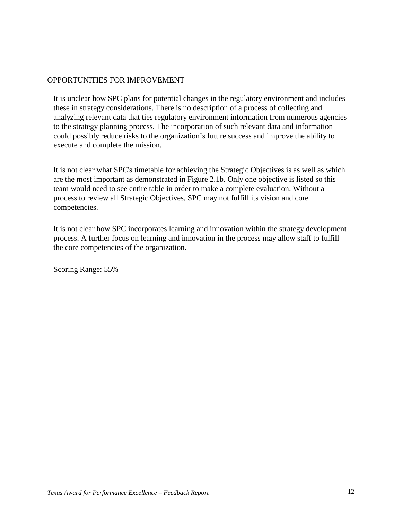#### OPPORTUNITIES FOR IMPROVEMENT

It is unclear how SPC plans for potential changes in the regulatory environment and includes these in strategy considerations. There is no description of a process of collecting and analyzing relevant data that ties regulatory environment information from numerous agencies to the strategy planning process. The incorporation of such relevant data and information could possibly reduce risks to the organization's future success and improve the ability to execute and complete the mission.

It is not clear what SPC's timetable for achieving the Strategic Objectives is as well as which are the most important as demonstrated in Figure 2.1b. Only one objective is listed so this team would need to see entire table in order to make a complete evaluation. Without a process to review all Strategic Objectives, SPC may not fulfill its vision and core competencies.

It is not clear how SPC incorporates learning and innovation within the strategy development process. A further focus on learning and innovation in the process may allow staff to fulfill the core competencies of the organization.

Scoring Range: 55%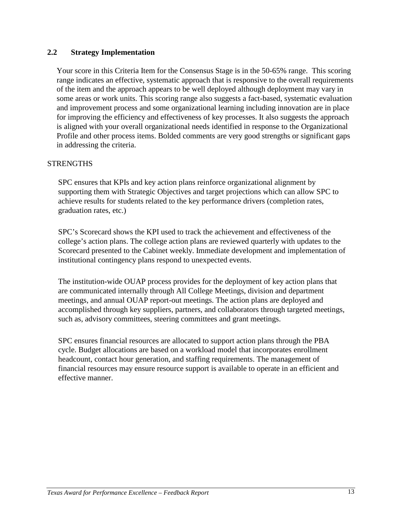#### **2.2 Strategy Implementation**

Your score in this Criteria Item for the Consensus Stage is in the 50-65% range. This scoring range indicates an effective, systematic approach that is responsive to the overall requirements of the item and the approach appears to be well deployed although deployment may vary in some areas or work units. This scoring range also suggests a fact-based, systematic evaluation and improvement process and some organizational learning including innovation are in place for improving the efficiency and effectiveness of key processes. It also suggests the approach is aligned with your overall organizational needs identified in response to the Organizational Profile and other process items. Bolded comments are very good strengths or significant gaps in addressing the criteria.

#### **STRENGTHS**

SPC ensures that KPIs and key action plans reinforce organizational alignment by supporting them with Strategic Objectives and target projections which can allow SPC to achieve results for students related to the key performance drivers (completion rates, graduation rates, etc.)

SPC's Scorecard shows the KPI used to track the achievement and effectiveness of the college's action plans. The college action plans are reviewed quarterly with updates to the Scorecard presented to the Cabinet weekly. Immediate development and implementation of institutional contingency plans respond to unexpected events.

The institution-wide OUAP process provides for the deployment of key action plans that are communicated internally through All College Meetings, division and department meetings, and annual OUAP report-out meetings. The action plans are deployed and accomplished through key suppliers, partners, and collaborators through targeted meetings, such as, advisory committees, steering committees and grant meetings.

SPC ensures financial resources are allocated to support action plans through the PBA cycle. Budget allocations are based on a workload model that incorporates enrollment headcount, contact hour generation, and staffing requirements. The management of financial resources may ensure resource support is available to operate in an efficient and effective manner.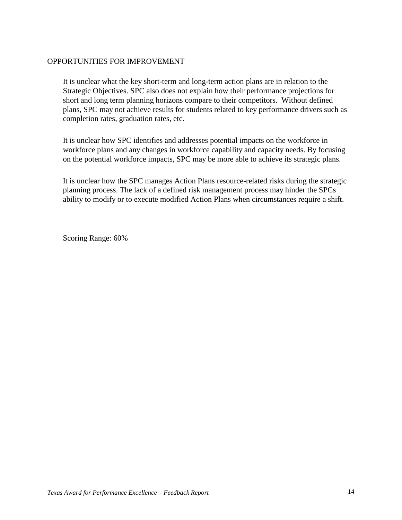#### OPPORTUNITIES FOR IMPROVEMENT

It is unclear what the key short-term and long-term action plans are in relation to the Strategic Objectives. SPC also does not explain how their performance projections for short and long term planning horizons compare to their competitors. Without defined plans, SPC may not achieve results for students related to key performance drivers such as completion rates, graduation rates, etc.

It is unclear how SPC identifies and addresses potential impacts on the workforce in workforce plans and any changes in workforce capability and capacity needs. By focusing on the potential workforce impacts, SPC may be more able to achieve its strategic plans.

It is unclear how the SPC manages Action Plans resource-related risks during the strategic planning process. The lack of a defined risk management process may hinder the SPCs ability to modify or to execute modified Action Plans when circumstances require a shift.

Scoring Range: 60%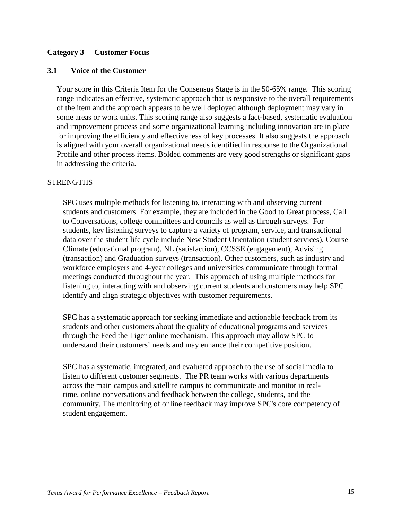#### **Category 3 Customer Focus**

#### **3.1 Voice of the Customer**

Your score in this Criteria Item for the Consensus Stage is in the 50-65% range. This scoring range indicates an effective, systematic approach that is responsive to the overall requirements of the item and the approach appears to be well deployed although deployment may vary in some areas or work units. This scoring range also suggests a fact-based, systematic evaluation and improvement process and some organizational learning including innovation are in place for improving the efficiency and effectiveness of key processes. It also suggests the approach is aligned with your overall organizational needs identified in response to the Organizational Profile and other process items. Bolded comments are very good strengths or significant gaps in addressing the criteria.

#### **STRENGTHS**

SPC uses multiple methods for listening to, interacting with and observing current students and customers. For example, they are included in the Good to Great process, Call to Conversations, college committees and councils as well as through surveys. For students, key listening surveys to capture a variety of program, service, and transactional data over the student life cycle include New Student Orientation (student services), Course Climate (educational program), NL (satisfaction), CCSSE (engagement), Advising (transaction) and Graduation surveys (transaction). Other customers, such as industry and workforce employers and 4-year colleges and universities communicate through formal meetings conducted throughout the year. This approach of using multiple methods for listening to, interacting with and observing current students and customers may help SPC identify and align strategic objectives with customer requirements.

SPC has a systematic approach for seeking immediate and actionable feedback from its students and other customers about the quality of educational programs and services through the Feed the Tiger online mechanism. This approach may allow SPC to understand their customers' needs and may enhance their competitive position.

SPC has a systematic, integrated, and evaluated approach to the use of social media to listen to different customer segments. The PR team works with various departments across the main campus and satellite campus to communicate and monitor in realtime, online conversations and feedback between the college, students, and the community. The monitoring of online feedback may improve SPC's core competency of student engagement.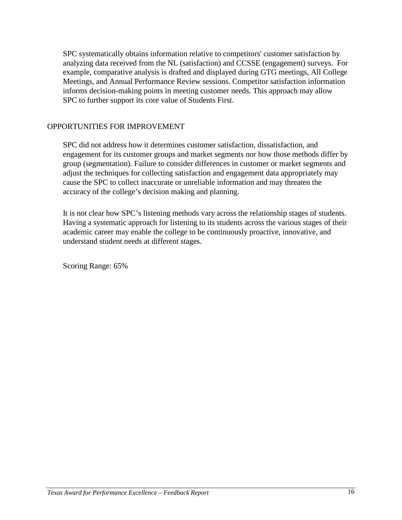SPC systematically obtains information relative to competitors' customer satisfaction by analyzing data received from the NL (satisfaction) and CCSSE (engagement) surveys. For example, comparative analysis is drafted and displayed during GTG meetings, All College Meetings, and Annual Performance Review sessions. Competitor satisfaction information informs decision-making points in meeting customer needs. This approach may allow SPC to further support its core value of Students First.

#### OPPORTUNITIES FOR IMPROVEMENT

SPC did not address how it determines customer satisfaction, dissatisfaction, and engagement for its customer groups and market segments nor how those methods differ by group (segmentation). Failure to consider differences in customer or market segments and adjust the techniques for collecting satisfaction and engagement data appropriately may cause the SPC to collect inaccurate or unreliable information and may threaten the accuracy of the college's decision making and planning.

It is not clear how SPC's listening methods vary across the relationship stages of students. Having a systematic approach for listening to its students across the various stages of their academic career may enable the college to be continuously proactive, innovative, and understand student needs at different stages.

Scoring Range: 65%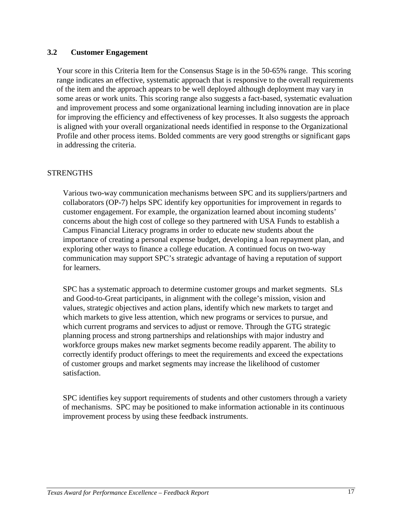#### **3.2 Customer Engagement**

Your score in this Criteria Item for the Consensus Stage is in the 50-65% range. This scoring range indicates an effective, systematic approach that is responsive to the overall requirements of the item and the approach appears to be well deployed although deployment may vary in some areas or work units. This scoring range also suggests a fact-based, systematic evaluation and improvement process and some organizational learning including innovation are in place for improving the efficiency and effectiveness of key processes. It also suggests the approach is aligned with your overall organizational needs identified in response to the Organizational Profile and other process items. Bolded comments are very good strengths or significant gaps in addressing the criteria.

#### **STRENGTHS**

Various two-way communication mechanisms between SPC and its suppliers/partners and collaborators (OP-7) helps SPC identify key opportunities for improvement in regards to customer engagement. For example, the organization learned about incoming students' concerns about the high cost of college so they partnered with USA Funds to establish a Campus Financial Literacy programs in order to educate new students about the importance of creating a personal expense budget, developing a loan repayment plan, and exploring other ways to finance a college education. A continued focus on two-way communication may support SPC's strategic advantage of having a reputation of support for learners.

SPC has a systematic approach to determine customer groups and market segments. SLs and Good-to-Great participants, in alignment with the college's mission, vision and values, strategic objectives and action plans, identify which new markets to target and which markets to give less attention, which new programs or services to pursue, and which current programs and services to adjust or remove. Through the GTG strategic planning process and strong partnerships and relationships with major industry and workforce groups makes new market segments become readily apparent. The ability to correctly identify product offerings to meet the requirements and exceed the expectations of customer groups and market segments may increase the likelihood of customer satisfaction.

SPC identifies key support requirements of students and other customers through a variety of mechanisms. SPC may be positioned to make information actionable in its continuous improvement process by using these feedback instruments.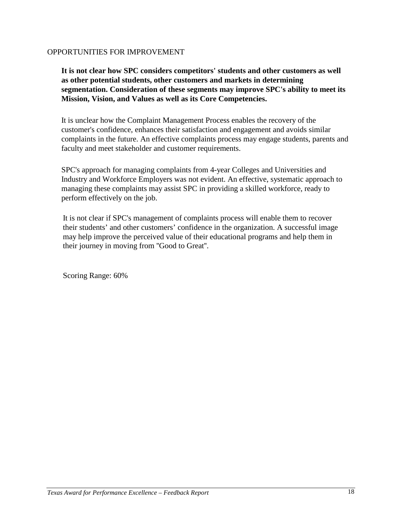#### OPPORTUNITIES FOR IMPROVEMENT

**It is not clear how SPC considers competitors' students and other customers as well as other potential students, other customers and markets in determining segmentation. Consideration of these segments may improve SPC's ability to meet its Mission, Vision, and Values as well as its Core Competencies.**

It is unclear how the Complaint Management Process enables the recovery of the customer's confidence, enhances their satisfaction and engagement and avoids similar complaints in the future. An effective complaints process may engage students, parents and faculty and meet stakeholder and customer requirements.

SPC's approach for managing complaints from 4-year Colleges and Universities and Industry and Workforce Employers was not evident. An effective, systematic approach to managing these complaints may assist SPC in providing a skilled workforce, ready to perform effectively on the job.

It is not clear if SPC's management of complaints process will enable them to recover their students' and other customers' confidence in the organization. A successful image may help improve the perceived value of their educational programs and help them in their journey in moving from ''Good to Great''.

Scoring Range: 60%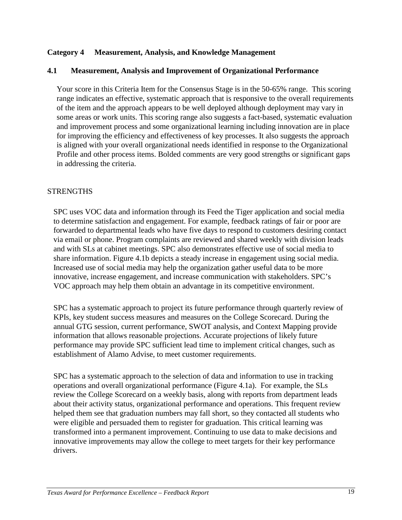#### **Category 4 Measurement, Analysis, and Knowledge Management**

#### **4.1 Measurement, Analysis and Improvement of Organizational Performance**

Your score in this Criteria Item for the Consensus Stage is in the 50-65% range. This scoring range indicates an effective, systematic approach that is responsive to the overall requirements of the item and the approach appears to be well deployed although deployment may vary in some areas or work units. This scoring range also suggests a fact-based, systematic evaluation and improvement process and some organizational learning including innovation are in place for improving the efficiency and effectiveness of key processes. It also suggests the approach is aligned with your overall organizational needs identified in response to the Organizational Profile and other process items. Bolded comments are very good strengths or significant gaps in addressing the criteria.

#### **STRENGTHS**

SPC uses VOC data and information through its Feed the Tiger application and social media to determine satisfaction and engagement. For example, feedback ratings of fair or poor are forwarded to departmental leads who have five days to respond to customers desiring contact via email or phone. Program complaints are reviewed and shared weekly with division leads and with SLs at cabinet meetings. SPC also demonstrates effective use of social media to share information. Figure 4.1b depicts a steady increase in engagement using social media. Increased use of social media may help the organization gather useful data to be more innovative, increase engagement, and increase communication with stakeholders. SPC's VOC approach may help them obtain an advantage in its competitive environment.

SPC has a systematic approach to project its future performance through quarterly review of KPIs, key student success measures and measures on the College Scorecard. During the annual GTG session, current performance, SWOT analysis, and Context Mapping provide information that allows reasonable projections. Accurate projections of likely future performance may provide SPC sufficient lead time to implement critical changes, such as establishment of Alamo Advise, to meet customer requirements.

SPC has a systematic approach to the selection of data and information to use in tracking operations and overall organizational performance (Figure 4.1a). For example, the SLs review the College Scorecard on a weekly basis, along with reports from department leads about their activity status, organizational performance and operations. This frequent review helped them see that graduation numbers may fall short, so they contacted all students who were eligible and persuaded them to register for graduation. This critical learning was transformed into a permanent improvement. Continuing to use data to make decisions and innovative improvements may allow the college to meet targets for their key performance drivers.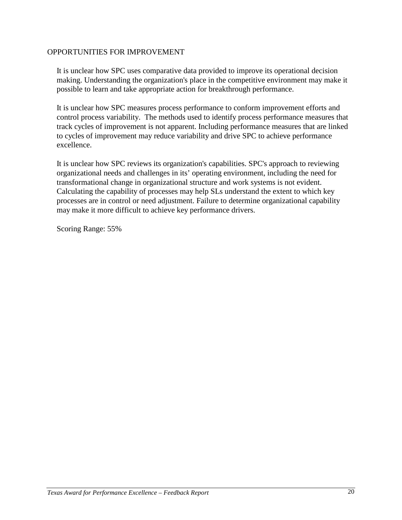#### OPPORTUNITIES FOR IMPROVEMENT

It is unclear how SPC uses comparative data provided to improve its operational decision making. Understanding the organization's place in the competitive environment may make it possible to learn and take appropriate action for breakthrough performance.

It is unclear how SPC measures process performance to conform improvement efforts and control process variability. The methods used to identify process performance measures that track cycles of improvement is not apparent. Including performance measures that are linked to cycles of improvement may reduce variability and drive SPC to achieve performance excellence.

It is unclear how SPC reviews its organization's capabilities. SPC's approach to reviewing organizational needs and challenges in its' operating environment, including the need for transformational change in organizational structure and work systems is not evident. Calculating the capability of processes may help SLs understand the extent to which key processes are in control or need adjustment. Failure to determine organizational capability may make it more difficult to achieve key performance drivers.

Scoring Range: 55%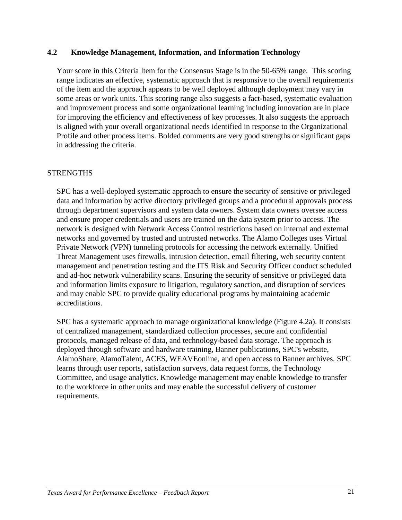#### **4.2 Knowledge Management, Information, and Information Technology**

Your score in this Criteria Item for the Consensus Stage is in the 50-65% range. This scoring range indicates an effective, systematic approach that is responsive to the overall requirements of the item and the approach appears to be well deployed although deployment may vary in some areas or work units. This scoring range also suggests a fact-based, systematic evaluation and improvement process and some organizational learning including innovation are in place for improving the efficiency and effectiveness of key processes. It also suggests the approach is aligned with your overall organizational needs identified in response to the Organizational Profile and other process items. Bolded comments are very good strengths or significant gaps in addressing the criteria.

#### **STRENGTHS**

SPC has a well-deployed systematic approach to ensure the security of sensitive or privileged data and information by active directory privileged groups and a procedural approvals process through department supervisors and system data owners. System data owners oversee access and ensure proper credentials and users are trained on the data system prior to access. The network is designed with Network Access Control restrictions based on internal and external networks and governed by trusted and untrusted networks. The Alamo Colleges uses Virtual Private Network (VPN) tunneling protocols for accessing the network externally. Unified Threat Management uses firewalls, intrusion detection, email filtering, web security content management and penetration testing and the ITS Risk and Security Officer conduct scheduled and ad-hoc network vulnerability scans. Ensuring the security of sensitive or privileged data and information limits exposure to litigation, regulatory sanction, and disruption of services and may enable SPC to provide quality educational programs by maintaining academic accreditations.

SPC has a systematic approach to manage organizational knowledge (Figure 4.2a). It consists of centralized management, standardized collection processes, secure and confidential protocols, managed release of data, and technology-based data storage. The approach is deployed through software and hardware training, Banner publications, SPC's website, AlamoShare, AlamoTalent, ACES, WEAVEonline, and open access to Banner archives. SPC learns through user reports, satisfaction surveys, data request forms, the Technology Committee, and usage analytics. Knowledge management may enable knowledge to transfer to the workforce in other units and may enable the successful delivery of customer requirements.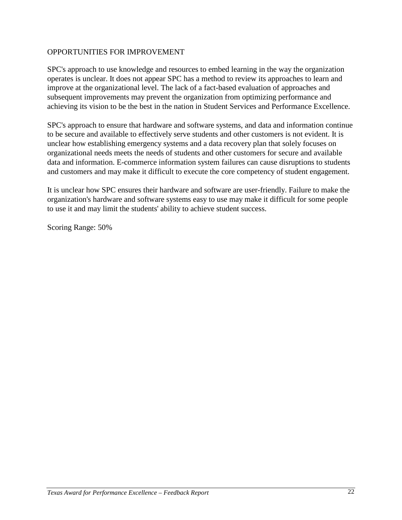#### OPPORTUNITIES FOR IMPROVEMENT

SPC's approach to use knowledge and resources to embed learning in the way the organization operates is unclear. It does not appear SPC has a method to review its approaches to learn and improve at the organizational level. The lack of a fact-based evaluation of approaches and subsequent improvements may prevent the organization from optimizing performance and achieving its vision to be the best in the nation in Student Services and Performance Excellence.

SPC's approach to ensure that hardware and software systems, and data and information continue to be secure and available to effectively serve students and other customers is not evident. It is unclear how establishing emergency systems and a data recovery plan that solely focuses on organizational needs meets the needs of students and other customers for secure and available data and information. E-commerce information system failures can cause disruptions to students and customers and may make it difficult to execute the core competency of student engagement.

It is unclear how SPC ensures their hardware and software are user-friendly. Failure to make the organization's hardware and software systems easy to use may make it difficult for some people to use it and may limit the students' ability to achieve student success.

Scoring Range: 50%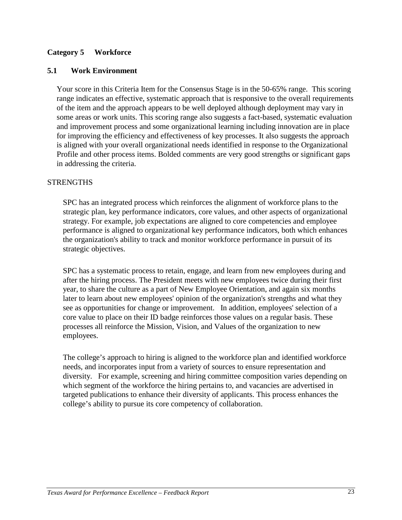#### **Category 5 Workforce**

#### **5.1 Work Environment**

Your score in this Criteria Item for the Consensus Stage is in the 50-65% range. This scoring range indicates an effective, systematic approach that is responsive to the overall requirements of the item and the approach appears to be well deployed although deployment may vary in some areas or work units. This scoring range also suggests a fact-based, systematic evaluation and improvement process and some organizational learning including innovation are in place for improving the efficiency and effectiveness of key processes. It also suggests the approach is aligned with your overall organizational needs identified in response to the Organizational Profile and other process items. Bolded comments are very good strengths or significant gaps in addressing the criteria.

#### **STRENGTHS**

SPC has an integrated process which reinforces the alignment of workforce plans to the strategic plan, key performance indicators, core values, and other aspects of organizational strategy. For example, job expectations are aligned to core competencies and employee performance is aligned to organizational key performance indicators, both which enhances the organization's ability to track and monitor workforce performance in pursuit of its strategic objectives.

SPC has a systematic process to retain, engage, and learn from new employees during and after the hiring process. The President meets with new employees twice during their first year, to share the culture as a part of New Employee Orientation, and again six months later to learn about new employees' opinion of the organization's strengths and what they see as opportunities for change or improvement. In addition, employees' selection of a core value to place on their ID badge reinforces those values on a regular basis. These processes all reinforce the Mission, Vision, and Values of the organization to new employees.

The college's approach to hiring is aligned to the workforce plan and identified workforce needs, and incorporates input from a variety of sources to ensure representation and diversity. For example, screening and hiring committee composition varies depending on which segment of the workforce the hiring pertains to, and vacancies are advertised in targeted publications to enhance their diversity of applicants. This process enhances the college's ability to pursue its core competency of collaboration.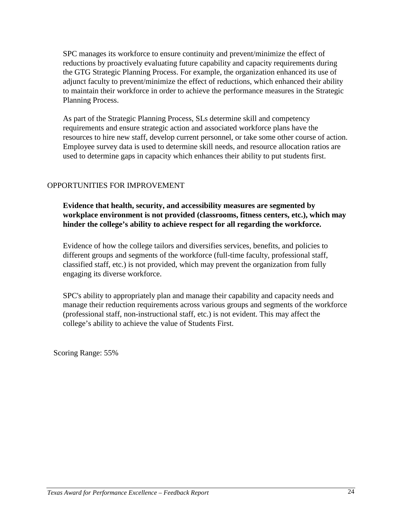SPC manages its workforce to ensure continuity and prevent/minimize the effect of reductions by proactively evaluating future capability and capacity requirements during the GTG Strategic Planning Process. For example, the organization enhanced its use of adjunct faculty to prevent/minimize the effect of reductions, which enhanced their ability to maintain their workforce in order to achieve the performance measures in the Strategic Planning Process.

As part of the Strategic Planning Process, SLs determine skill and competency requirements and ensure strategic action and associated workforce plans have the resources to hire new staff, develop current personnel, or take some other course of action. Employee survey data is used to determine skill needs, and resource allocation ratios are used to determine gaps in capacity which enhances their ability to put students first.

#### OPPORTUNITIES FOR IMPROVEMENT

**Evidence that health, security, and accessibility measures are segmented by workplace environment is not provided (classrooms, fitness centers, etc.), which may hinder the college's ability to achieve respect for all regarding the workforce.** 

Evidence of how the college tailors and diversifies services, benefits, and policies to different groups and segments of the workforce (full-time faculty, professional staff, classified staff, etc.) is not provided, which may prevent the organization from fully engaging its diverse workforce.

SPC's ability to appropriately plan and manage their capability and capacity needs and manage their reduction requirements across various groups and segments of the workforce (professional staff, non-instructional staff, etc.) is not evident. This may affect the college's ability to achieve the value of Students First.

Scoring Range: 55%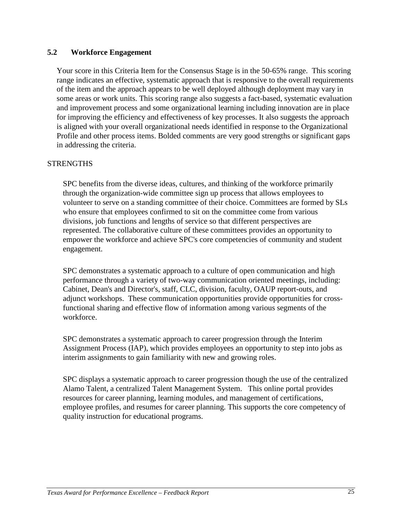#### **5.2 Workforce Engagement**

Your score in this Criteria Item for the Consensus Stage is in the 50-65% range. This scoring range indicates an effective, systematic approach that is responsive to the overall requirements of the item and the approach appears to be well deployed although deployment may vary in some areas or work units. This scoring range also suggests a fact-based, systematic evaluation and improvement process and some organizational learning including innovation are in place for improving the efficiency and effectiveness of key processes. It also suggests the approach is aligned with your overall organizational needs identified in response to the Organizational Profile and other process items. Bolded comments are very good strengths or significant gaps in addressing the criteria.

#### **STRENGTHS**

SPC benefits from the diverse ideas, cultures, and thinking of the workforce primarily through the organization-wide committee sign up process that allows employees to volunteer to serve on a standing committee of their choice. Committees are formed by SLs who ensure that employees confirmed to sit on the committee come from various divisions, job functions and lengths of service so that different perspectives are represented. The collaborative culture of these committees provides an opportunity to empower the workforce and achieve SPC's core competencies of community and student engagement.

SPC demonstrates a systematic approach to a culture of open communication and high performance through a variety of two-way communication oriented meetings, including: Cabinet, Dean's and Director's, staff, CLC, division, faculty, OAUP report-outs, and adjunct workshops. These communication opportunities provide opportunities for crossfunctional sharing and effective flow of information among various segments of the workforce.

SPC demonstrates a systematic approach to career progression through the Interim Assignment Process (IAP), which provides employees an opportunity to step into jobs as interim assignments to gain familiarity with new and growing roles.

SPC displays a systematic approach to career progression though the use of the centralized Alamo Talent, a centralized Talent Management System. This online portal provides resources for career planning, learning modules, and management of certifications, employee profiles, and resumes for career planning. This supports the core competency of quality instruction for educational programs.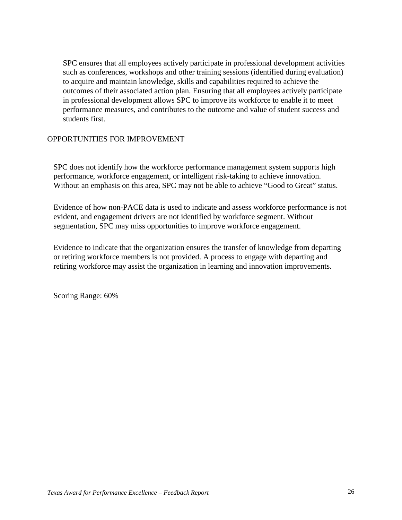SPC ensures that all employees actively participate in professional development activities such as conferences, workshops and other training sessions (identified during evaluation) to acquire and maintain knowledge, skills and capabilities required to achieve the outcomes of their associated action plan. Ensuring that all employees actively participate in professional development allows SPC to improve its workforce to enable it to meet performance measures, and contributes to the outcome and value of student success and students first.

#### OPPORTUNITIES FOR IMPROVEMENT

SPC does not identify how the workforce performance management system supports high performance, workforce engagement, or intelligent risk-taking to achieve innovation. Without an emphasis on this area, SPC may not be able to achieve "Good to Great" status.

Evidence of how non-PACE data is used to indicate and assess workforce performance is not evident, and engagement drivers are not identified by workforce segment. Without segmentation, SPC may miss opportunities to improve workforce engagement.

Evidence to indicate that the organization ensures the transfer of knowledge from departing or retiring workforce members is not provided. A process to engage with departing and retiring workforce may assist the organization in learning and innovation improvements.

Scoring Range: 60%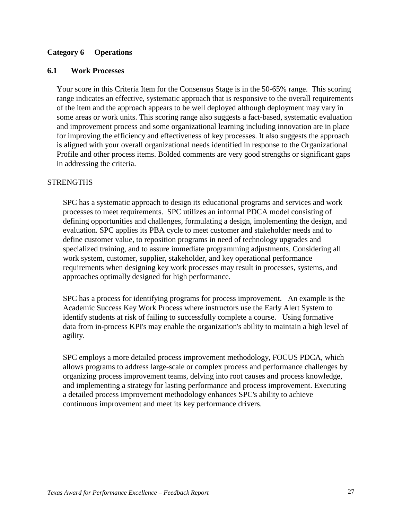#### **Category 6 Operations**

#### **6.1 Work Processes**

Your score in this Criteria Item for the Consensus Stage is in the 50-65% range. This scoring range indicates an effective, systematic approach that is responsive to the overall requirements of the item and the approach appears to be well deployed although deployment may vary in some areas or work units. This scoring range also suggests a fact-based, systematic evaluation and improvement process and some organizational learning including innovation are in place for improving the efficiency and effectiveness of key processes. It also suggests the approach is aligned with your overall organizational needs identified in response to the Organizational Profile and other process items. Bolded comments are very good strengths or significant gaps in addressing the criteria.

#### **STRENGTHS**

SPC has a systematic approach to design its educational programs and services and work processes to meet requirements. SPC utilizes an informal PDCA model consisting of defining opportunities and challenges, formulating a design, implementing the design, and evaluation. SPC applies its PBA cycle to meet customer and stakeholder needs and to define customer value, to reposition programs in need of technology upgrades and specialized training, and to assure immediate programming adjustments. Considering all work system, customer, supplier, stakeholder, and key operational performance requirements when designing key work processes may result in processes, systems, and approaches optimally designed for high performance.

SPC has a process for identifying programs for process improvement. An example is the Academic Success Key Work Process where instructors use the Early Alert System to identify students at risk of failing to successfully complete a course. Using formative data from in-process KPI's may enable the organization's ability to maintain a high level of agility.

SPC employs a more detailed process improvement methodology, FOCUS PDCA, which allows programs to address large-scale or complex process and performance challenges by organizing process improvement teams, delving into root causes and process knowledge, and implementing a strategy for lasting performance and process improvement. Executing a detailed process improvement methodology enhances SPC's ability to achieve continuous improvement and meet its key performance drivers.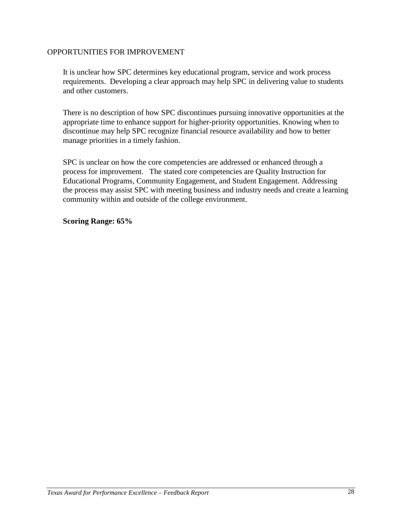#### OPPORTUNITIES FOR IMPROVEMENT

It is unclear how SPC determines key educational program, service and work process requirements. Developing a clear approach may help SPC in delivering value to students and other customers.

There is no description of how SPC discontinues pursuing innovative opportunities at the appropriate time to enhance support for higher-priority opportunities. Knowing when to discontinue may help SPC recognize financial resource availability and how to better manage priorities in a timely fashion.

SPC is unclear on how the core competencies are addressed or enhanced through a process for improvement. The stated core competencies are Quality Instruction for Educational Programs, Community Engagement, and Student Engagement. Addressing the process may assist SPC with meeting business and industry needs and create a learning community within and outside of the college environment.

#### **Scoring Range: 65%**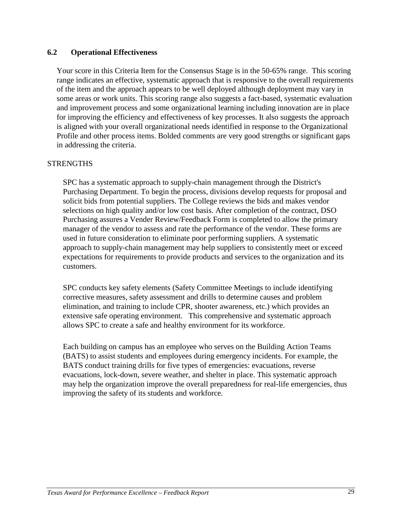#### **6.2 Operational Effectiveness**

Your score in this Criteria Item for the Consensus Stage is in the 50-65% range. This scoring range indicates an effective, systematic approach that is responsive to the overall requirements of the item and the approach appears to be well deployed although deployment may vary in some areas or work units. This scoring range also suggests a fact-based, systematic evaluation and improvement process and some organizational learning including innovation are in place for improving the efficiency and effectiveness of key processes. It also suggests the approach is aligned with your overall organizational needs identified in response to the Organizational Profile and other process items. Bolded comments are very good strengths or significant gaps in addressing the criteria.

#### **STRENGTHS**

SPC has a systematic approach to supply-chain management through the District's Purchasing Department. To begin the process, divisions develop requests for proposal and solicit bids from potential suppliers. The College reviews the bids and makes vendor selections on high quality and/or low cost basis. After completion of the contract, DSO Purchasing assures a Vender Review/Feedback Form is completed to allow the primary manager of the vendor to assess and rate the performance of the vendor. These forms are used in future consideration to eliminate poor performing suppliers. A systematic approach to supply-chain management may help suppliers to consistently meet or exceed expectations for requirements to provide products and services to the organization and its customers.

SPC conducts key safety elements (Safety Committee Meetings to include identifying corrective measures, safety assessment and drills to determine causes and problem elimination, and training to include CPR, shooter awareness, etc.) which provides an extensive safe operating environment. This comprehensive and systematic approach allows SPC to create a safe and healthy environment for its workforce.

Each building on campus has an employee who serves on the Building Action Teams (BATS) to assist students and employees during emergency incidents. For example, the BATS conduct training drills for five types of emergencies: evacuations, reverse evacuations, lock-down, severe weather, and shelter in place. This systematic approach may help the organization improve the overall preparedness for real-life emergencies, thus improving the safety of its students and workforce.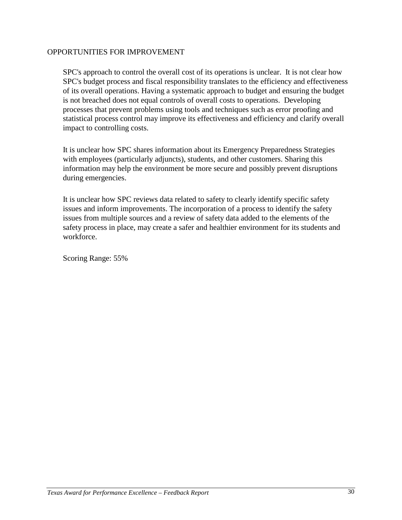#### OPPORTUNITIES FOR IMPROVEMENT

SPC's approach to control the overall cost of its operations is unclear. It is not clear how SPC's budget process and fiscal responsibility translates to the efficiency and effectiveness of its overall operations. Having a systematic approach to budget and ensuring the budget is not breached does not equal controls of overall costs to operations. Developing processes that prevent problems using tools and techniques such as error proofing and statistical process control may improve its effectiveness and efficiency and clarify overall impact to controlling costs.

It is unclear how SPC shares information about its Emergency Preparedness Strategies with employees (particularly adjuncts), students, and other customers. Sharing this information may help the environment be more secure and possibly prevent disruptions during emergencies.

It is unclear how SPC reviews data related to safety to clearly identify specific safety issues and inform improvements. The incorporation of a process to identify the safety issues from multiple sources and a review of safety data added to the elements of the safety process in place, may create a safer and healthier environment for its students and workforce.

Scoring Range: 55%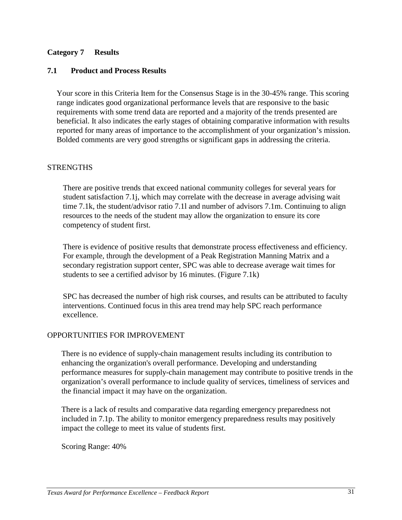#### **Category 7 Results**

#### **7.1 Product and Process Results**

Your score in this Criteria Item for the Consensus Stage is in the 30-45% range. This scoring range indicates good organizational performance levels that are responsive to the basic requirements with some trend data are reported and a majority of the trends presented are beneficial. It also indicates the early stages of obtaining comparative information with results reported for many areas of importance to the accomplishment of your organization's mission. Bolded comments are very good strengths or significant gaps in addressing the criteria.

#### **STRENGTHS**

There are positive trends that exceed national community colleges for several years for student satisfaction 7.1j, which may correlate with the decrease in average advising wait time 7.1k, the student/advisor ratio 7.1l and number of advisors 7.1m. Continuing to align resources to the needs of the student may allow the organization to ensure its core competency of student first.

There is evidence of positive results that demonstrate process effectiveness and efficiency. For example, through the development of a Peak Registration Manning Matrix and a secondary registration support center, SPC was able to decrease average wait times for students to see a certified advisor by 16 minutes. (Figure 7.1k)

SPC has decreased the number of high risk courses, and results can be attributed to faculty interventions. Continued focus in this area trend may help SPC reach performance excellence.

#### OPPORTUNITIES FOR IMPROVEMENT

There is no evidence of supply-chain management results including its contribution to enhancing the organization's overall performance. Developing and understanding performance measures for supply-chain management may contribute to positive trends in the organization's overall performance to include quality of services, timeliness of services and the financial impact it may have on the organization.

There is a lack of results and comparative data regarding emergency preparedness not included in 7.1p. The ability to monitor emergency preparedness results may positively impact the college to meet its value of students first.

Scoring Range: 40%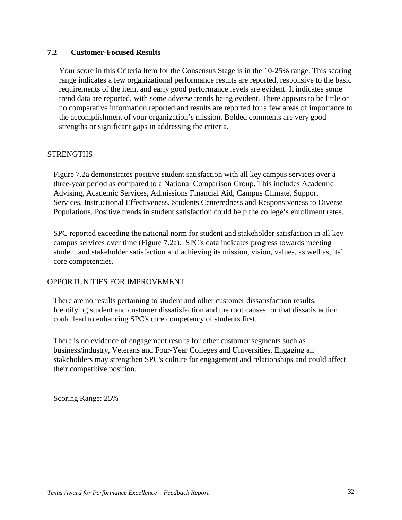#### **7.2 Customer-Focused Results**

Your score in this Criteria Item for the Consensus Stage is in the 10-25% range. This scoring range indicates a few organizational performance results are reported, responsive to the basic requirements of the item, and early good performance levels are evident. It indicates some trend data are reported, with some adverse trends being evident. There appears to be little or no comparative information reported and results are reported for a few areas of importance to the accomplishment of your organization's mission. Bolded comments are very good strengths or significant gaps in addressing the criteria.

#### STRENGTHS

Figure 7.2a demonstrates positive student satisfaction with all key campus services over a three-year period as compared to a National Comparison Group. This includes Academic Advising, Academic Services, Admissions Financial Aid, Campus Climate, Support Services, Instructional Effectiveness, Students Centeredness and Responsiveness to Diverse Populations. Positive trends in student satisfaction could help the college's enrollment rates.

SPC reported exceeding the national norm for student and stakeholder satisfaction in all key campus services over time (Figure 7.2a). SPC's data indicates progress towards meeting student and stakeholder satisfaction and achieving its mission, vision, values, as well as, its' core competencies.

#### OPPORTUNITIES FOR IMPROVEMENT

There are no results pertaining to student and other customer dissatisfaction results. Identifying student and customer dissatisfaction and the root causes for that dissatisfaction could lead to enhancing SPC's core competency of students first.

There is no evidence of engagement results for other customer segments such as business/industry, Veterans and Four-Year Colleges and Universities. Engaging all stakeholders may strengthen SPC's culture for engagement and relationships and could affect their competitive position.

Scoring Range: 25%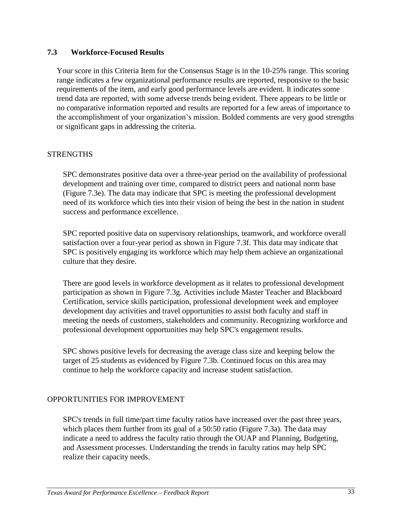#### **7.3 Workforce-Focused Results**

Your score in this Criteria Item for the Consensus Stage is in the 10-25% range. This scoring range indicates a few organizational performance results are reported, responsive to the basic requirements of the item, and early good performance levels are evident. It indicates some trend data are reported, with some adverse trends being evident. There appears to be little or no comparative information reported and results are reported for a few areas of importance to the accomplishment of your organization's mission. Bolded comments are very good strengths or significant gaps in addressing the criteria.

#### **STRENGTHS**

SPC demonstrates positive data over a three-year period on the availability of professional development and training over time, compared to district peers and national norm base (Figure 7.3e). The data may indicate that SPC is meeting the professional development need of its workforce which ties into their vision of being the best in the nation in student success and performance excellence.

SPC reported positive data on supervisory relationships, teamwork, and workforce overall satisfaction over a four-year period as shown in Figure 7.3f. This data may indicate that SPC is positively engaging its workforce which may help them achieve an organizational culture that they desire.

There are good levels in workforce development as it relates to professional development participation as shown in Figure 7.3g. Activities include Master Teacher and Blackboard Certification, service skills participation, professional development week and employee development day activities and travel opportunities to assist both faculty and staff in meeting the needs of customers, stakeholders and community. Recognizing workforce and professional development opportunities may help SPC's engagement results.

SPC shows positive levels for decreasing the average class size and keeping below the target of 25 students as evidenced by Figure 7.3b. Continued focus on this area may continue to help the workforce capacity and increase student satisfaction.

#### OPPORTUNITIES FOR IMPROVEMENT

SPC's trends in full time/part time faculty ratios have increased over the past three years, which places them further from its goal of a 50:50 ratio (Figure 7.3a). The data may indicate a need to address the faculty ratio through the OUAP and Planning, Budgeting, and Assessment processes. Understanding the trends in faculty ratios may help SPC realize their capacity needs.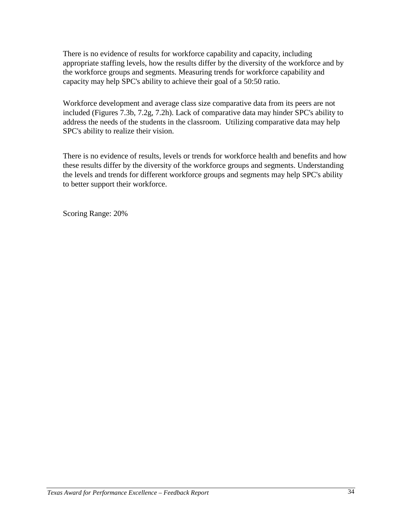There is no evidence of results for workforce capability and capacity, including appropriate staffing levels, how the results differ by the diversity of the workforce and by the workforce groups and segments. Measuring trends for workforce capability and capacity may help SPC's ability to achieve their goal of a 50:50 ratio.

Workforce development and average class size comparative data from its peers are not included (Figures 7.3b, 7.2g, 7.2h). Lack of comparative data may hinder SPC's ability to address the needs of the students in the classroom. Utilizing comparative data may help SPC's ability to realize their vision.

There is no evidence of results, levels or trends for workforce health and benefits and how these results differ by the diversity of the workforce groups and segments. Understanding the levels and trends for different workforce groups and segments may help SPC's ability to better support their workforce.

Scoring Range: 20%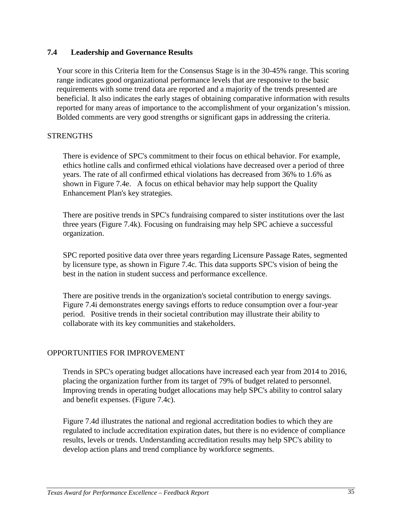#### **7.4 Leadership and Governance Results**

Your score in this Criteria Item for the Consensus Stage is in the 30-45% range. This scoring range indicates good organizational performance levels that are responsive to the basic requirements with some trend data are reported and a majority of the trends presented are beneficial. It also indicates the early stages of obtaining comparative information with results reported for many areas of importance to the accomplishment of your organization's mission. Bolded comments are very good strengths or significant gaps in addressing the criteria.

#### **STRENGTHS**

There is evidence of SPC's commitment to their focus on ethical behavior. For example, ethics hotline calls and confirmed ethical violations have decreased over a period of three years. The rate of all confirmed ethical violations has decreased from 36% to 1.6% as shown in Figure 7.4e. A focus on ethical behavior may help support the Quality Enhancement Plan's key strategies.

There are positive trends in SPC's fundraising compared to sister institutions over the last three years (Figure 7.4k). Focusing on fundraising may help SPC achieve a successful organization.

SPC reported positive data over three years regarding Licensure Passage Rates, segmented by licensure type, as shown in Figure 7.4c. This data supports SPC's vision of being the best in the nation in student success and performance excellence.

There are positive trends in the organization's societal contribution to energy savings. Figure 7.4i demonstrates energy savings efforts to reduce consumption over a four-year period. Positive trends in their societal contribution may illustrate their ability to collaborate with its key communities and stakeholders.

#### OPPORTUNITIES FOR IMPROVEMENT

Trends in SPC's operating budget allocations have increased each year from 2014 to 2016, placing the organization further from its target of 79% of budget related to personnel. Improving trends in operating budget allocations may help SPC's ability to control salary and benefit expenses. (Figure 7.4c).

Figure 7.4d illustrates the national and regional accreditation bodies to which they are regulated to include accreditation expiration dates, but there is no evidence of compliance results, levels or trends. Understanding accreditation results may help SPC's ability to develop action plans and trend compliance by workforce segments.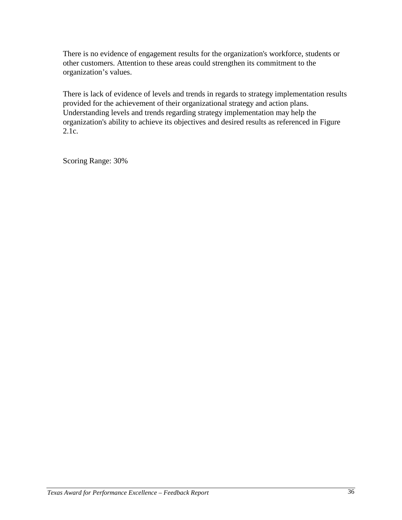There is no evidence of engagement results for the organization's workforce, students or other customers. Attention to these areas could strengthen its commitment to the organization's values.

There is lack of evidence of levels and trends in regards to strategy implementation results provided for the achievement of their organizational strategy and action plans. Understanding levels and trends regarding strategy implementation may help the organization's ability to achieve its objectives and desired results as referenced in Figure 2.1c.

Scoring Range: 30%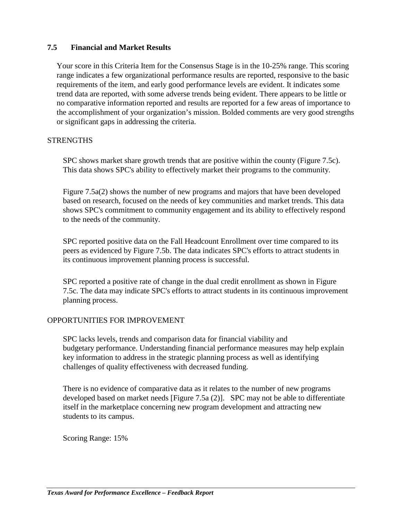#### **7.5 Financial and Market Results**

Your score in this Criteria Item for the Consensus Stage is in the 10-25% range. This scoring range indicates a few organizational performance results are reported, responsive to the basic requirements of the item, and early good performance levels are evident. It indicates some trend data are reported, with some adverse trends being evident. There appears to be little or no comparative information reported and results are reported for a few areas of importance to the accomplishment of your organization's mission. Bolded comments are very good strengths or significant gaps in addressing the criteria.

#### **STRENGTHS**

SPC shows market share growth trends that are positive within the county (Figure 7.5c). This data shows SPC's ability to effectively market their programs to the community.

Figure 7.5a(2) shows the number of new programs and majors that have been developed based on research, focused on the needs of key communities and market trends. This data shows SPC's commitment to community engagement and its ability to effectively respond to the needs of the community.

SPC reported positive data on the Fall Headcount Enrollment over time compared to its peers as evidenced by Figure 7.5b. The data indicates SPC's efforts to attract students in its continuous improvement planning process is successful.

SPC reported a positive rate of change in the dual credit enrollment as shown in Figure 7.5c. The data may indicate SPC's efforts to attract students in its continuous improvement planning process.

#### OPPORTUNITIES FOR IMPROVEMENT

SPC lacks levels, trends and comparison data for financial viability and budgetary performance. Understanding financial performance measures may help explain key information to address in the strategic planning process as well as identifying challenges of quality effectiveness with decreased funding.

There is no evidence of comparative data as it relates to the number of new programs developed based on market needs [Figure 7.5a (2)]. SPC may not be able to differentiate itself in the marketplace concerning new program development and attracting new students to its campus.

Scoring Range: 15%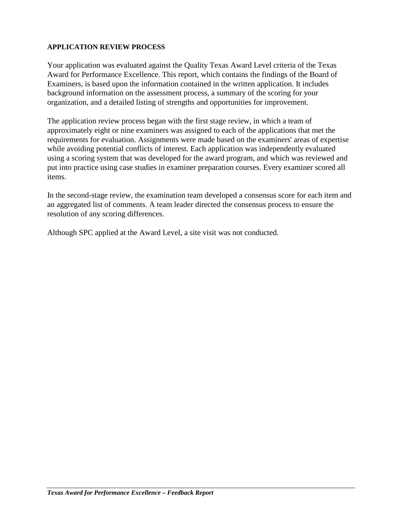#### **APPLICATION REVIEW PROCESS**

Your application was evaluated against the Quality Texas Award Level criteria of the Texas Award for Performance Excellence. This report, which contains the findings of the Board of Examiners, is based upon the information contained in the written application. It includes background information on the assessment process, a summary of the scoring for your organization, and a detailed listing of strengths and opportunities for improvement.

The application review process began with the first stage review, in which a team of approximately eight or nine examiners was assigned to each of the applications that met the requirements for evaluation. Assignments were made based on the examiners' areas of expertise while avoiding potential conflicts of interest. Each application was independently evaluated using a scoring system that was developed for the award program, and which was reviewed and put into practice using case studies in examiner preparation courses. Every examiner scored all items.

In the second-stage review, the examination team developed a consensus score for each item and an aggregated list of comments. A team leader directed the consensus process to ensure the resolution of any scoring differences.

Although SPC applied at the Award Level, a site visit was not conducted.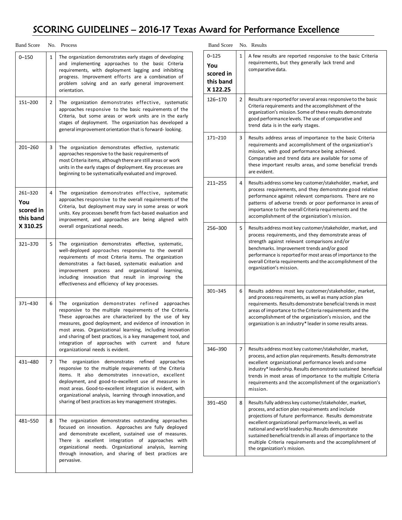### SCORING GUIDELINES – 2016-17 Texas Award for Performance Excellence

| $0 - 125$<br>$\mathbf{1}$<br>$0 - 150$<br>$\mathbf{1}$<br>The organization demonstrates early stages of developing<br>and implementing approaches to the basic Criteria<br>You<br>requirements, with deployment lagging and inhibiting<br>scored in<br>progress. Improvement efforts are a combination of<br>this band<br>problem solving and an early general improvement<br>X 122.25<br>orientation.<br>$\overline{2}$<br>126-170<br>151-200<br>2<br>The organization demonstrates effective, systematic<br>approaches responsive to the basic requirements of the<br>Criteria, but some areas or work units are in the early<br>stages of deployment. The organization has developed a<br>general improvement orientation that is forward-looking.<br>3<br>171-210<br>The organization demonstrates effective, systematic<br>$201 - 260$<br>3<br>approaches responsive to the basic requirements of<br>most Criteria items, although there are still areas or work<br>units in the early stages of deployment. Key processes are<br>beginning to be systematically evaluated and improved.<br>$211 - 255$<br>4<br>$261 - 320$<br>4<br>The organization demonstrates effective, systematic<br>approaches responsive to the overall requirements of the<br>You<br>Criteria, but deployment may vary in some areas or work<br>scored in<br>units. Key processes benefit from fact-based evaluation and<br>this band<br>improvement, and approaches are being aligned with<br>X 310.25<br>overall organizational needs.<br>5<br>256-300<br>process<br>5<br>The organization demonstrates effective, systematic,<br>321-370<br>well-deployed approaches responsive to the overall<br>requirements of most Criteria items. The organization<br>demonstrates a fact-based, systematic evaluation and<br>improvement process and organizational learning,<br>including innovation that result in improving the<br>effectiveness and efficiency of key processes.<br>6<br>301-345<br>Results a<br>371-430<br>The organization demonstrates refined approaches<br>6<br>responsive to the multiple requirements of the Criteria.<br>These approaches are characterized by the use of key<br>measures, good deployment, and evidence of innovation in<br>most areas. Organizational learning, including innovation<br>and sharing of best practices, is a key management tool, and<br>integration of approaches with current and future<br>$\overline{7}$<br>346-390<br>organizational needs is evident.<br>organization demonstrates refined approaches<br>431-480<br>7<br>The<br>responsive to the multiple requirements of the Criteria<br>items. It also demonstrates innovation, excellent<br>deployment, and good-to-excellent use of measures in<br>most areas. Good-to-excellent integration is evident, with<br>organizational analysis, learning through innovation, and<br>sharing of best practices as key management strategies.<br>391-450<br>Results f<br>8<br>481-550<br>8<br>The organization demonstrates outstanding approaches<br>focused on innovation. Approaches are fully deployed<br>and demonstrate excellent, sustained use of measures.<br>There is excellent integration of approaches with<br>organizational needs. Organizational analysis, learning<br>through innovation, and sharing of best practices are<br>pervasive. |  | <b>Band Score</b> | No. Process | <b>Band Score</b> | No. Results                                                                        |
|---------------------------------------------------------------------------------------------------------------------------------------------------------------------------------------------------------------------------------------------------------------------------------------------------------------------------------------------------------------------------------------------------------------------------------------------------------------------------------------------------------------------------------------------------------------------------------------------------------------------------------------------------------------------------------------------------------------------------------------------------------------------------------------------------------------------------------------------------------------------------------------------------------------------------------------------------------------------------------------------------------------------------------------------------------------------------------------------------------------------------------------------------------------------------------------------------------------------------------------------------------------------------------------------------------------------------------------------------------------------------------------------------------------------------------------------------------------------------------------------------------------------------------------------------------------------------------------------------------------------------------------------------------------------------------------------------------------------------------------------------------------------------------------------------------------------------------------------------------------------------------------------------------------------------------------------------------------------------------------------------------------------------------------------------------------------------------------------------------------------------------------------------------------------------------------------------------------------------------------------------------------------------------------------------------------------------------------------------------------------------------------------------------------------------------------------------------------------------------------------------------------------------------------------------------------------------------------------------------------------------------------------------------------------------------------------------------------------------------------------------------------------------------------------------------------------------------------------------------------------------------------------------------------------------------------------------------------------------------------------------------------------------------------------------------------------------------------------------------------------------------------------------------------------------------------------------------------------------------------------------------------------------------------------------------------------------------------------------|--|-------------------|-------------|-------------------|------------------------------------------------------------------------------------|
|                                                                                                                                                                                                                                                                                                                                                                                                                                                                                                                                                                                                                                                                                                                                                                                                                                                                                                                                                                                                                                                                                                                                                                                                                                                                                                                                                                                                                                                                                                                                                                                                                                                                                                                                                                                                                                                                                                                                                                                                                                                                                                                                                                                                                                                                                                                                                                                                                                                                                                                                                                                                                                                                                                                                                                                                                                                                                                                                                                                                                                                                                                                                                                                                                                                                                                                                                   |  |                   |             |                   | A few re<br>requiren<br>compara                                                    |
|                                                                                                                                                                                                                                                                                                                                                                                                                                                                                                                                                                                                                                                                                                                                                                                                                                                                                                                                                                                                                                                                                                                                                                                                                                                                                                                                                                                                                                                                                                                                                                                                                                                                                                                                                                                                                                                                                                                                                                                                                                                                                                                                                                                                                                                                                                                                                                                                                                                                                                                                                                                                                                                                                                                                                                                                                                                                                                                                                                                                                                                                                                                                                                                                                                                                                                                                                   |  |                   |             |                   | Results a<br>Criteria r<br>organiza<br>good per<br>trend da                        |
|                                                                                                                                                                                                                                                                                                                                                                                                                                                                                                                                                                                                                                                                                                                                                                                                                                                                                                                                                                                                                                                                                                                                                                                                                                                                                                                                                                                                                                                                                                                                                                                                                                                                                                                                                                                                                                                                                                                                                                                                                                                                                                                                                                                                                                                                                                                                                                                                                                                                                                                                                                                                                                                                                                                                                                                                                                                                                                                                                                                                                                                                                                                                                                                                                                                                                                                                                   |  |                   |             |                   | Results a<br>requiren<br>mission,<br>Compara<br>these im<br>are evide              |
|                                                                                                                                                                                                                                                                                                                                                                                                                                                                                                                                                                                                                                                                                                                                                                                                                                                                                                                                                                                                                                                                                                                                                                                                                                                                                                                                                                                                                                                                                                                                                                                                                                                                                                                                                                                                                                                                                                                                                                                                                                                                                                                                                                                                                                                                                                                                                                                                                                                                                                                                                                                                                                                                                                                                                                                                                                                                                                                                                                                                                                                                                                                                                                                                                                                                                                                                                   |  |                   |             |                   | Results a<br>process<br>perform<br>patterns<br>importar<br>accompl<br>Results a    |
|                                                                                                                                                                                                                                                                                                                                                                                                                                                                                                                                                                                                                                                                                                                                                                                                                                                                                                                                                                                                                                                                                                                                                                                                                                                                                                                                                                                                                                                                                                                                                                                                                                                                                                                                                                                                                                                                                                                                                                                                                                                                                                                                                                                                                                                                                                                                                                                                                                                                                                                                                                                                                                                                                                                                                                                                                                                                                                                                                                                                                                                                                                                                                                                                                                                                                                                                                   |  |                   |             |                   | strength<br>benchma<br>performa<br>overall C<br>organiza                           |
|                                                                                                                                                                                                                                                                                                                                                                                                                                                                                                                                                                                                                                                                                                                                                                                                                                                                                                                                                                                                                                                                                                                                                                                                                                                                                                                                                                                                                                                                                                                                                                                                                                                                                                                                                                                                                                                                                                                                                                                                                                                                                                                                                                                                                                                                                                                                                                                                                                                                                                                                                                                                                                                                                                                                                                                                                                                                                                                                                                                                                                                                                                                                                                                                                                                                                                                                                   |  |                   |             |                   | and proc<br>requirem<br>areas of<br>accompl<br>organiza<br>Results a               |
|                                                                                                                                                                                                                                                                                                                                                                                                                                                                                                                                                                                                                                                                                                                                                                                                                                                                                                                                                                                                                                                                                                                                                                                                                                                                                                                                                                                                                                                                                                                                                                                                                                                                                                                                                                                                                                                                                                                                                                                                                                                                                                                                                                                                                                                                                                                                                                                                                                                                                                                                                                                                                                                                                                                                                                                                                                                                                                                                                                                                                                                                                                                                                                                                                                                                                                                                                   |  |                   |             |                   | process,<br>excellent<br>industry<br>trends ir<br>requiren<br>mission              |
|                                                                                                                                                                                                                                                                                                                                                                                                                                                                                                                                                                                                                                                                                                                                                                                                                                                                                                                                                                                                                                                                                                                                                                                                                                                                                                                                                                                                                                                                                                                                                                                                                                                                                                                                                                                                                                                                                                                                                                                                                                                                                                                                                                                                                                                                                                                                                                                                                                                                                                                                                                                                                                                                                                                                                                                                                                                                                                                                                                                                                                                                                                                                                                                                                                                                                                                                                   |  |                   |             |                   | process,<br>projectic<br>excellent<br>national<br>sustaine<br>multiple<br>the orga |

| <b>Band Score</b>                                      |              | No. Results                                                                                                                                                                                                                                                                                                                                                                                                                                         |
|--------------------------------------------------------|--------------|-----------------------------------------------------------------------------------------------------------------------------------------------------------------------------------------------------------------------------------------------------------------------------------------------------------------------------------------------------------------------------------------------------------------------------------------------------|
| $0 - 125$<br>You<br>scored in<br>this band<br>X 122.25 | $\mathbf{1}$ | A few results are reported responsive to the basic Criteria<br>requirements, but they generally lack trend and<br>comparative data.                                                                                                                                                                                                                                                                                                                 |
| 126-170                                                | 2            | Results are reported for several areas responsive to the basic<br>Criteria requirements and the accomplishment of the<br>organization's mission. Some of these results demonstrate<br>good performance levels. The use of comparative and<br>trend data is in the early stages.                                                                                                                                                                     |
| 171-210                                                | 3            | Results address areas of importance to the basic Criteria<br>requirements and accomplishment of the organization's<br>mission, with good performance being achieved.<br>Comparative and trend data are available for some of<br>these important results areas, and some beneficial trends<br>are evident.                                                                                                                                           |
| $211 - 255$                                            | 4            | Results address some key customer/stakeholder, market, and<br>process requirements, and they demonstrate good relative<br>performance against relevant comparisons. There are no<br>patterns of adverse trends or poor performance in areas of<br>importance to the overall Criteria requirements and the<br>accomplishment of the organization's mission.                                                                                          |
| 256-300                                                | 5            | Results address most key customer/stakeholder, market, and<br>process requirements, and they demonstrate areas of<br>strength against relevant comparisons and/or<br>benchmarks. Improvement trends and/or good<br>performance is reported for most areas of importance to the<br>overall Criteria requirements and the accomplishment of the<br>organization's mission.                                                                            |
| $301 - 345$                                            | 6            | Results address most key customer/stakeholder, market,<br>and process requirements, as well as many action plan<br>requirements. Results demonstrate beneficial trends in most<br>areas of importance to the Criteria requirements and the<br>accomplishment of the organization's mission, and the<br>organization is an industry* leader in some results areas.                                                                                   |
| 346-390                                                | 7            | Results address most key customer/stakeholder, market,<br>process, and action plan requirements. Results demonstrate<br>excellent organizational performance levels and some<br>industry* leadership. Results demonstrate sustained beneficial<br>trends in most areas of importance to the multiple Criteria<br>requirements and the accomplishment of the organization's<br>mission.                                                              |
| 391-450                                                | 8            | Results fully address key customer/stakeholder, market,<br>process, and action plan requirements and include<br>projections of future performance. Results demonstrate<br>excellent organizational performance levels, as well as<br>national and world leadership. Results demonstrate<br>sustained beneficial trends in all areas of importance to the<br>multiple Criteria requirements and the accomplishment of<br>the organization's mission. |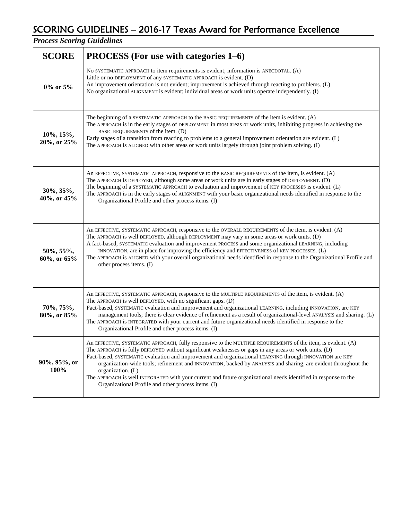*Process Scoring Guidelines*

| <b>SCORE</b>             | <b>PROCESS</b> (For use with categories 1–6)                                                                                                                                                                                                                                                                                                                                                                                                                                                                                                                                                                                                        |  |  |  |
|--------------------------|-----------------------------------------------------------------------------------------------------------------------------------------------------------------------------------------------------------------------------------------------------------------------------------------------------------------------------------------------------------------------------------------------------------------------------------------------------------------------------------------------------------------------------------------------------------------------------------------------------------------------------------------------------|--|--|--|
| 0% or 5%                 | No SYSTEMATIC APPROACH to item requirements is evident; information is ANECDOTAL. (A)<br>Little or no DEPLOYMENT of any SYSTEMATIC APPROACH is evident. (D)<br>An improvement orientation is not evident; improvement is achieved through reacting to problems. (L)<br>No organizational ALIGNMENT is evident; individual areas or work units operate independently. (I)                                                                                                                                                                                                                                                                            |  |  |  |
| 10%, 15%,<br>20%, or 25% | The beginning of a SYSTEMATIC APPROACH to the BASIC REQUIREMENTS of the item is evident. (A)<br>The APPROACH is in the early stages of DEPLOYMENT in most areas or work units, inhibiting progress in achieving the<br>BASIC REQUIREMENTS of the item. (D)<br>Early stages of a transition from reacting to problems to a general improvement orientation are evident. (L)<br>The APPROACH is ALIGNED with other areas or work units largely through joint problem solving. (I)                                                                                                                                                                     |  |  |  |
| 30%, 35%,<br>40%, or 45% | An EFFECTIVE, SYSTEMATIC APPROACH, responsive to the BASIC REQUIREMENTS of the item, is evident. (A)<br>The APPROACH is DEPLOYED, although some areas or work units are in early stages of DEPLOYMENT. (D)<br>The beginning of a SYSTEMATIC APPROACH to evaluation and improvement of KEY PROCESSES is evident. (L)<br>The APPROACH is in the early stages of ALIGNMENT with your basic organizational needs identified in response to the<br>Organizational Profile and other process items. (I)                                                                                                                                                   |  |  |  |
| 50%, 55%,<br>60%, or 65% | An EFFECTIVE, SYSTEMATIC APPROACH, responsive to the OVERALL REQUIREMENTS of the item, is evident. (A)<br>The APPROACH is well DEPLOYED, although DEPLOYMENT may vary in some areas or work units. (D)<br>A fact-based, SYSTEMATIC evaluation and improvement PROCESS and some organizational LEARNING, including<br>INNOVATION, are in place for improving the efficiency and EFFECTIVENESS of KEY PROCESSES. (L)<br>The APPROACH is ALIGNED with your overall organizational needs identified in response to the Organizational Profile and<br>other process items. (I)                                                                           |  |  |  |
| 70%, 75%,<br>80%, or 85% | An EFFECTIVE, SYSTEMATIC APPROACH, responsive to the MULTIPLE REQUIREMENTS of the item, is evident. (A)<br>The APPROACH is well DEPLOYED, with no significant gaps. (D)<br>Fact-based, SYSTEMATIC evaluation and improvement and organizational LEARNING, including INNOVATION, are KEY<br>management tools; there is clear evidence of refinement as a result of organizational-level ANALYSIS and sharing. (L)<br>The APPROACH is INTEGRATED with your current and future organizational needs identified in response to the<br>Organizational Profile and other process items. (I)                                                               |  |  |  |
| 90%, 95%, or<br>100%     | An EFFECTIVE, SYSTEMATIC APPROACH, fully responsive to the MULTIPLE REQUIREMENTS of the item, is evident. (A)<br>The APPROACH is fully DEPLOYED without significant weaknesses or gaps in any areas or work units. (D)<br>Fact-based, SYSTEMATIC evaluation and improvement and organizational LEARNING through INNOVATION are KEY<br>organization-wide tools; refinement and INNOVATION, backed by ANALYSIS and sharing, are evident throughout the<br>organization. (L)<br>The APPROACH is well INTEGRATED with your current and future organizational needs identified in response to the<br>Organizational Profile and other process items. (I) |  |  |  |